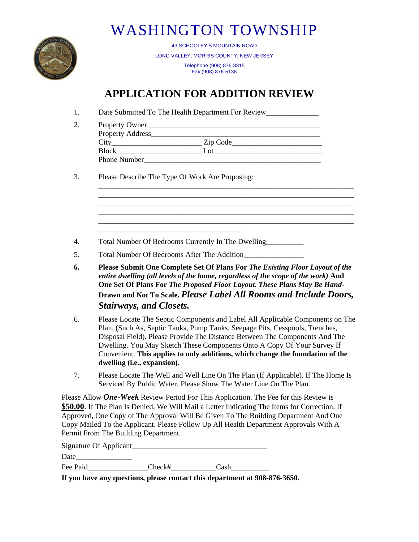

## WASHINGTON TOWNSHIP

43 SCHOOLEY'S MOUNTAIN ROAD LONG VALLEY, MORRIS COUNTY, NEW JERSEY Telephone (908) 876-3315 Fax (908) 876-5138

## **APPLICATION FOR ADDITION REVIEW**

1. Date Submitted To The Health Department For Review\_\_\_\_\_\_\_\_\_\_\_\_\_\_\_\_\_\_\_\_\_\_\_\_\_\_\_

| Property Owner      |          |
|---------------------|----------|
| Property Address_   |          |
| City                | Zip Code |
| <b>Block</b>        | .വ       |
| <b>Phone Number</b> |          |

\_\_\_\_\_\_\_\_\_\_\_\_\_\_\_\_\_\_\_\_\_\_\_\_\_\_\_\_\_\_\_\_\_\_\_\_\_\_\_\_\_\_\_\_\_\_\_\_\_\_\_\_\_\_\_\_\_\_\_\_\_\_\_\_\_\_\_\_

\_\_\_\_\_\_\_\_\_\_\_\_\_\_\_\_\_\_\_\_\_\_\_\_\_\_\_\_\_\_\_\_\_\_\_\_\_\_\_\_\_\_\_\_\_\_\_\_\_\_\_\_\_\_\_\_\_\_\_\_\_\_\_\_\_\_\_\_ \_\_\_\_\_\_\_\_\_\_\_\_\_\_\_\_\_\_\_\_\_\_\_\_\_\_\_\_\_\_\_\_\_\_\_\_\_\_\_\_\_\_\_\_\_\_\_\_\_\_\_\_\_\_\_\_\_\_\_\_\_\_\_\_\_\_\_\_ \_\_\_\_\_\_\_\_\_\_\_\_\_\_\_\_\_\_\_\_\_\_\_\_\_\_\_\_\_\_\_\_\_\_\_\_\_\_\_\_\_\_\_\_\_\_\_\_\_\_\_\_\_\_\_\_\_\_\_\_\_\_\_\_\_\_\_\_

3. Please Describe The Type Of Work Are Proposing:

\_\_\_\_\_\_\_\_\_\_\_\_\_\_\_\_\_\_\_\_\_\_\_\_\_\_\_\_\_\_\_\_\_\_\_\_\_\_

- 4. Total Number Of Bedrooms Currently In The Dwelling\_\_\_\_\_\_\_\_\_\_
- 5. Total Number Of Bedrooms After The Addition\_\_\_\_\_\_\_\_\_\_\_\_\_\_\_\_
- **6. Please Submit One Complete Set Of Plans For** *The Existing Floor Layout of the entire dwelling (all levels of the home, regardless of the scope of the work)* **And One Set Of Plans For** *The Proposed Floor Layout. These Plans May Be Hand-***Drawn and Not To Scale.** *Please Label All Rooms and Include Doors, Stairways, and Closets.*
- 6. Please Locate The Septic Components and Label All Applicable Components on The Plan, (Such As, Septic Tanks, Pump Tanks, Seepage Pits, Cesspools, Trenches, Disposal Field). Please Provide The Distance Between The Components And The Dwelling. You May Sketch These Components Onto A Copy Of Your Survey If Convenient. **This applies to only additions, which change the foundation of the dwelling (i.e., expansion).**
- 7. Please Locate The Well and Well Line On The Plan (If Applicable). If The Home Is Serviced By Public Water, Please Show The Water Line On The Plan.

Please Allow *One-Week* Review Period For This Application. The Fee for this Review is **\$50.00**. If The Plan Is Denied, We Will Mail a Letter Indicating The Items for Correction. If Approved, One Copy of The Approval Will Be Given To The Building Department And One Copy Mailed To the Applicant. Please Follow Up All Health Department Approvals With A Permit From The Building Department.

Signature Of Applicant

Date

Fee Paid Check# Cash

**If you have any questions, please contact this department at 908-876-3650.**